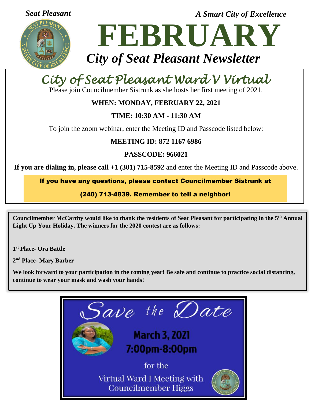

*Seat Pleasant A Smart City of Excellence*

# **FEBRUARY** *City of Seat Pleasant Newsletter*

# *City of Seat Pleasant Ward V Virtual*

*Meeting*  Please join Councilmember Sistrunk as she hosts her first meeting of 2021.

# **WHEN: MONDAY, FEBRUARY 22, 2021**

# **TIME: 10:30 AM - 11:30 AM**

To join the zoom webinar, enter the Meeting ID and Passcode listed below:

## **MEETING ID: 872 1167 6986**

**PASSCODE: 966021**

**If you are dialing in, please call +1 (301) 715-8592** and enter the Meeting ID and Passcode above.

If you have any questions, please contact Councilmember Sistrunk at

(240) 713-4839. Remember to tell a neighbor!

**Councilmember McCarthy would like to thank the residents of Seat Pleasant for participating in the 5th Annual Light Up Your Holiday. The winners for the 2020 contest are as follows:**

**1 st Place- Ora Battle**

**2 nd Place- Mary Barber**

**We look forward to your participation in the coming year! Be safe and continue to practice social distancing, continue to wear your mask and wash your hands!**

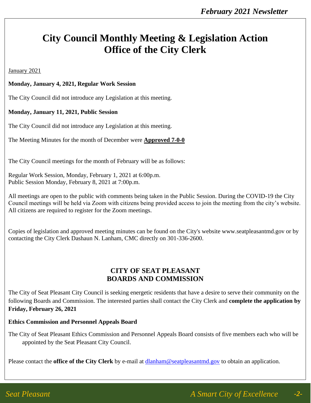# **City Council Monthly Meeting & Legislation Action Office of the City Clerk**

January 2021

#### **Monday, January 4, 2021, Regular Work Session**

The City Council did not introduce any Legislation at this meeting.

#### **Monday, January 11, 2021, Public Session**

The City Council did not introduce any Legislation at this meeting.

The Meeting Minutes for the month of December were **Approved 7-0-0**

The City Council meetings for the month of February will be as follows:

Regular Work Session, Monday, February 1, 2021 at 6:00p.m. Public Session Monday, February 8, 2021 at 7:00p.m.

All meetings are open to the public with comments being taken in the Public Session. During the COVID-19 the City Council meetings will be held via Zoom with citizens being provided access to join the meeting from the city's website. All citizens are required to register for the Zoom meetings.

Copies of legislation and approved meeting minutes can be found on the City's website www.seatpleasantmd.gov or by contacting the City Clerk Dashaun N. Lanham, CMC directly on 301-336-2600.

### **CITY OF SEAT PLEASANT BOARDS AND COMMISSION**

The City of Seat Pleasant City Council is seeking energetic residents that have a desire to serve their community on the following Boards and Commission. The interested parties shall contact the City Clerk and **complete the application by Friday, February 26, 2021**

#### **Ethics Commission and Personnel Appeals Board**

The City of Seat Pleasant Ethics Commission and Personnel Appeals Board consists of five members each who will be appointed by the Seat Pleasant City Council.

Please contact the **office of the City Clerk** by e-mail at [dlanham@seatpleasantmd.gov](mailto:dlanham@seatpleasantmd.gov) to obtain an application.

*-2-*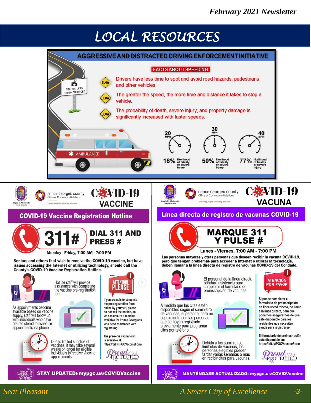# *LOCAL RESOURCES*



### *Seat Pleasant A Smart City of Excellence -3-*